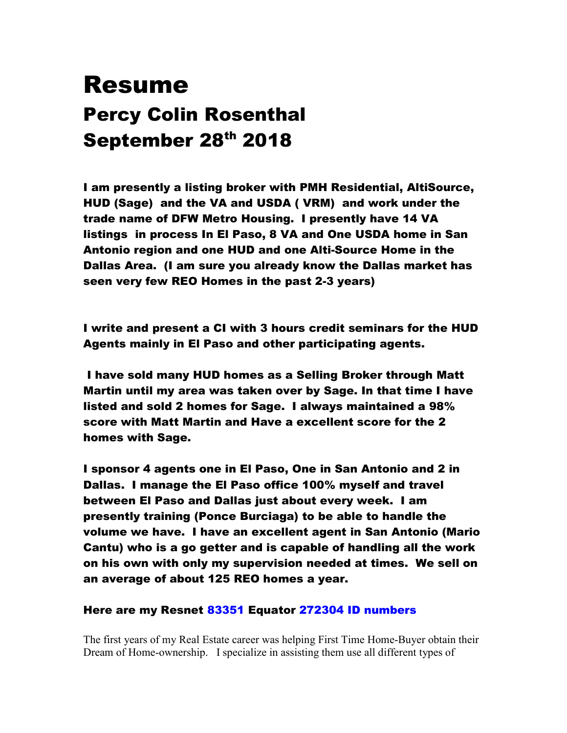## Resume Percy Colin Rosenthal September 28th 2018

I am presently a listing broker with PMH Residential, AltiSource, HUD (Sage) and the VA and USDA ( VRM) and work under the trade name of DFW Metro Housing. I presently have 14 VA listings in process In El Paso, 8 VA and One USDA home in San Antonio region and one HUD and one Alti-Source Home in the Dallas Area. (I am sure you already know the Dallas market has seen very few REO Homes in the past 2-3 years)

I write and present a CI with 3 hours credit seminars for the HUD Agents mainly in El Paso and other participating agents.

 I have sold many HUD homes as a Selling Broker through Matt Martin until my area was taken over by Sage. In that time I have listed and sold 2 homes for Sage. I always maintained a 98% score with Matt Martin and Have a excellent score for the 2 homes with Sage.

I sponsor 4 agents one in El Paso, One in San Antonio and 2 in Dallas. I manage the El Paso office 100% myself and travel between El Paso and Dallas just about every week. I am presently training (Ponce Burciaga) to be able to handle the volume we have. I have an excellent agent in San Antonio (Mario Cantu) who is a go getter and is capable of handling all the work on his own with only my supervision needed at times. We sell on an average of about 125 REO homes a year.

Here are my Resnet 83351 Equator 272304 ID numbers

The first years of my Real Estate career was helping First Time Home-Buyer obtain their Dream of Home-ownership. I specialize in assisting them use all different types of